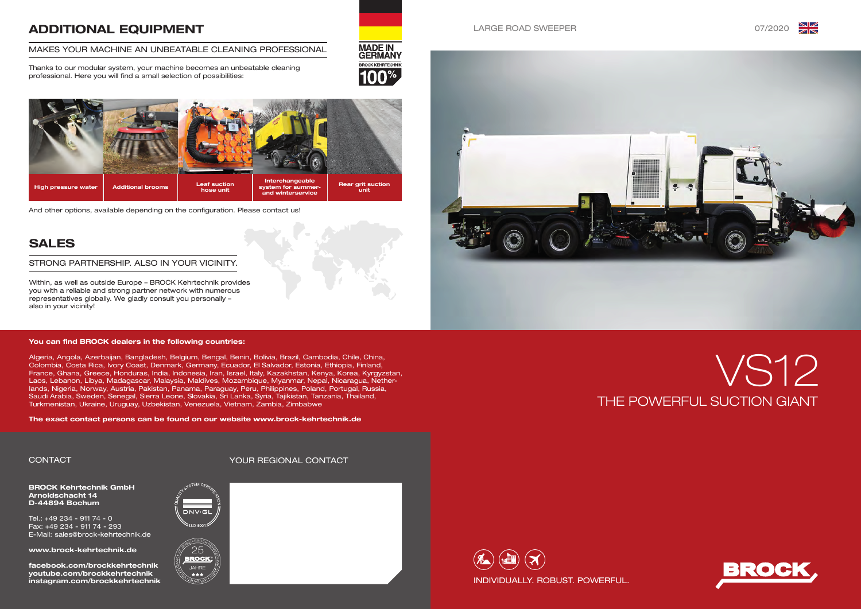

# THE POWERFUL SUCTION GIANT VS12



### LARGE ROAD SWEEPER 07/2020





BROCK Kehrtechnik GmbH Arnoldschacht 14 D-44894 Bochum

Tel.: +49 234 - 911 74 - 0 Fax: +49 234 - 911 74 - 293 E-Mail: sales@brock-kehrtechnik.de

www.brock-kehrtechnik.de

facebook.com/brockkehrtechnik youtube.com/brockkehrtechnik instagram.com/brockkehrtechnik

# ADDITIONAL EQUIPMENT

### MAKES YOUR MACHINE AN UNBEATABLE CLEANING PROFESSIONAL

Thanks to our modular system, your machine becomes an unbeatable cleaning professional. Here you will find a small selection of possibilities:



# SALES

Within, as well as outside Europe – BROCK Kehrtechnik provides you with a reliable and strong partner network with numerous representatives globally. We gladly consult you personally – also in your vicinity!

### STRONG PARTNERSHIP. ALSO IN YOUR VICINITY.

# CONTACT YOUR REGIONAL CONTACT







**BROCK KEHRTECHNI** 



And other options, available depending on the configuration. Please contact us!

### You can find BROCK dealers in the following countries:

Algeria, Angola, Azerbaijan, Bangladesh, Belgium, Bengal, Benin, Bolivia, Brazil, Cambodia, Chile, China, Colombia, Costa Rica, Ivory Coast, Denmark, Germany, Ecuador, El Salvador, Estonia, Ethiopia, Finland, France, Ghana, Greece, Honduras, India, Indonesia, Iran, Israel, Italy, Kazakhstan, Kenya, Korea, Kyrgyzstan, Laos, Lebanon, Libya, Madagascar, Malaysia, Maldives, Mozambique, Myanmar, Nepal, Nicaragua, Netherlands, Nigeria, Norway, Austria, Pakistan, Panama, Paraguay, Peru, Philippines, Poland, Portugal, Russia, Saudi Arabia, Sweden, Senegal, Sierra Leone, Slovakia, Sri Lanka, Syria, Tajikistan, Tanzania, Thailand, Turkmenistan, Ukraine, Uruguay, Uzbekistan, Venezuela, Vietnam, Zambia, Zimbabwe

The exact contact persons can be found on our website www.brock-kehrtechnik.de